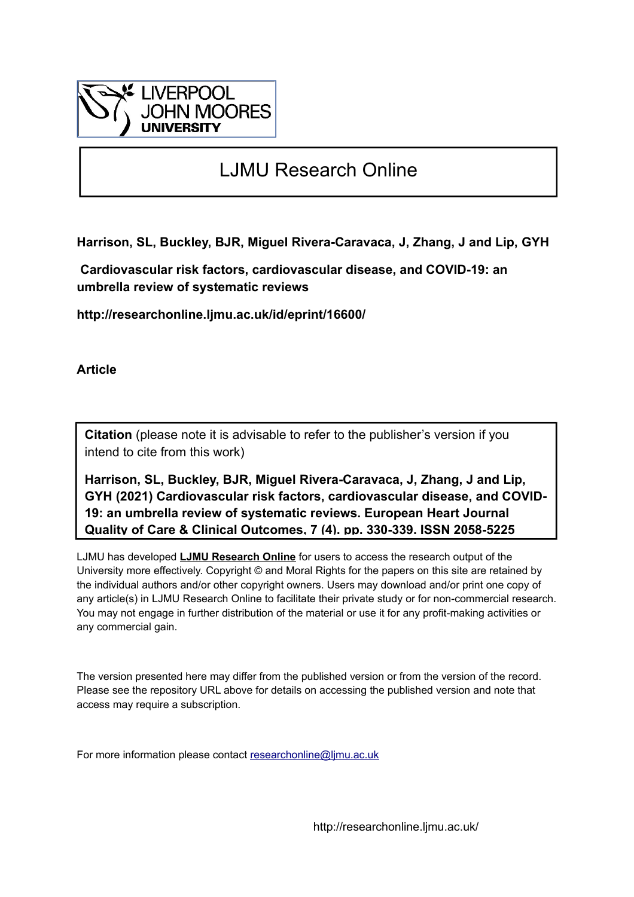

# LJMU Research Online

**Harrison, SL, Buckley, BJR, Miguel Rivera-Caravaca, J, Zhang, J and Lip, GYH**

 **Cardiovascular risk factors, cardiovascular disease, and COVID-19: an umbrella review of systematic reviews**

**http://researchonline.ljmu.ac.uk/id/eprint/16600/**

**Article**

**Citation** (please note it is advisable to refer to the publisher's version if you intend to cite from this work)

**Harrison, SL, Buckley, BJR, Miguel Rivera-Caravaca, J, Zhang, J and Lip, GYH (2021) Cardiovascular risk factors, cardiovascular disease, and COVID-19: an umbrella review of systematic reviews. European Heart Journal Quality of Care & Clinical Outcomes, 7 (4). pp. 330-339. ISSN 2058-5225** 

LJMU has developed **[LJMU Research Online](http://researchonline.ljmu.ac.uk/)** for users to access the research output of the University more effectively. Copyright © and Moral Rights for the papers on this site are retained by the individual authors and/or other copyright owners. Users may download and/or print one copy of any article(s) in LJMU Research Online to facilitate their private study or for non-commercial research. You may not engage in further distribution of the material or use it for any profit-making activities or any commercial gain.

The version presented here may differ from the published version or from the version of the record. Please see the repository URL above for details on accessing the published version and note that access may require a subscription.

For more information please contact [researchonline@ljmu.ac.uk](mailto:researchonline@ljmu.ac.uk)

http://researchonline.ljmu.ac.uk/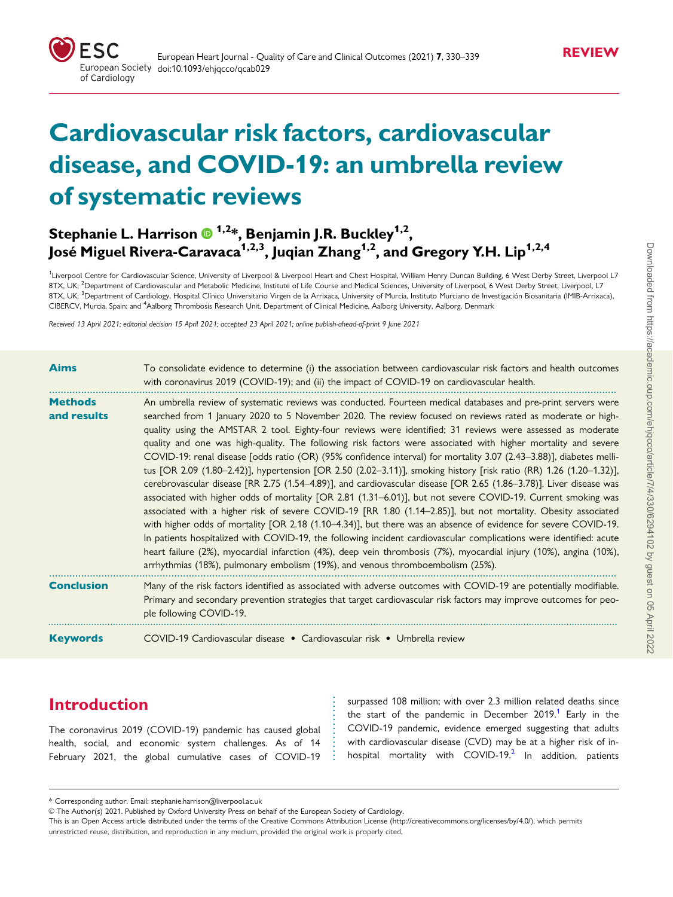<span id="page-1-0"></span>

# Cardiovascular risk factors, cardiovascular disease, and COVID-19: an umbrella review of systematic reviews

# Stephanie L. Harrison  $\bm{\mathsf{\Theta}}^{1,2}$ \*, Benjamin J.R. Buckley $^{1,2}$ , José Miguel Rivera-Caravaca<sup>1,2,3</sup>, Juqian Zhang<sup>1,2</sup>, and Gregory Y.H. Lip<sup>1,2,4</sup>

<sup>1</sup>Liverpool Centre for Cardiovascular Science, University of Liverpool & Liverpool Heart and Chest Hospital, William Henry Duncan Building, 6 West Derby Street, Liverpool L7 8TX, UK; <sup>2</sup>Department of Cardiovascular and Metabolic Medicine, Institute of Life Course and Medical Sciences, University of Liverpool, 6 West Derby Street, Liverpool, L7 8TX, UK; <sup>3</sup>Department of Cardiology, Hospital Clínico Universitario Virgen de la Arrixaca, University of Murcia, Instituto Murciano de Investigación Biosanitaria (IMIB-Arrixaca), CIBERCV, Murcia, Spain; and <sup>4</sup>Aalborg Thrombosis Research Unit, Department of Clinical Medicine, Aalborg University, Aalborg, Denmark

Received 13 April 2021; editorial decision 15 April 2021; accepted 23 April 2021; online publish-ahead-of-print 9 June 2021

| <b>Aims</b>                   | To consolidate evidence to determine (i) the association between cardiovascular risk factors and health outcomes<br>with coronavirus 2019 (COVID-19); and (ii) the impact of COVID-19 on cardiovascular health.                                                                                                                                                                                                                                                                                                                                                                                                                                                                                                                                                                                                                                                                                                                                                                                                                                                                                                                                                                                                                                                                                                                                                                                                                                                                                              |
|-------------------------------|--------------------------------------------------------------------------------------------------------------------------------------------------------------------------------------------------------------------------------------------------------------------------------------------------------------------------------------------------------------------------------------------------------------------------------------------------------------------------------------------------------------------------------------------------------------------------------------------------------------------------------------------------------------------------------------------------------------------------------------------------------------------------------------------------------------------------------------------------------------------------------------------------------------------------------------------------------------------------------------------------------------------------------------------------------------------------------------------------------------------------------------------------------------------------------------------------------------------------------------------------------------------------------------------------------------------------------------------------------------------------------------------------------------------------------------------------------------------------------------------------------------|
| <b>Methods</b><br>and results | An umbrella review of systematic reviews was conducted. Fourteen medical databases and pre-print servers were<br>searched from 1 January 2020 to 5 November 2020. The review focused on reviews rated as moderate or high-<br>quality using the AMSTAR 2 tool. Eighty-four reviews were identified; 31 reviews were assessed as moderate<br>quality and one was high-quality. The following risk factors were associated with higher mortality and severe<br>COVID-19: renal disease [odds ratio (OR) (95% confidence interval) for mortality 3.07 (2.43-3.88)], diabetes melli-<br>tus [OR 2.09 (1.80–2.42)], hypertension [OR 2.50 (2.02–3.11)], smoking history [risk ratio (RR) 1.26 (1.20–1.32)],<br>cerebrovascular disease [RR 2.75 (1.54-4.89)], and cardiovascular disease [OR 2.65 (1.86-3.78)]. Liver disease was<br>associated with higher odds of mortality [OR 2.81 (1.31–6.01)], but not severe COVID-19. Current smoking was<br>associated with a higher risk of severe COVID-19 [RR 1.80 (1.14-2.85)], but not mortality. Obesity associated<br>with higher odds of mortality [OR 2.18 (1.10-4.34)], but there was an absence of evidence for severe COVID-19.<br>In patients hospitalized with COVID-19, the following incident cardiovascular complications were identified: acute<br>heart failure (2%), myocardial infarction (4%), deep vein thrombosis (7%), myocardial injury (10%), angina (10%),<br>arrhythmias (18%), pulmonary embolism (19%), and venous thromboembolism (25%). |
| <b>Conclusion</b>             | Many of the risk factors identified as associated with adverse outcomes with COVID-19 are potentially modifiable.<br>Primary and secondary prevention strategies that target cardiovascular risk factors may improve outcomes for peo-<br>ple following COVID-19.                                                                                                                                                                                                                                                                                                                                                                                                                                                                                                                                                                                                                                                                                                                                                                                                                                                                                                                                                                                                                                                                                                                                                                                                                                            |
| <b>Keywords</b>               | COVID-19 Cardiovascular disease • Cardiovascular risk • Umbrella review                                                                                                                                                                                                                                                                                                                                                                                                                                                                                                                                                                                                                                                                                                                                                                                                                                                                                                                                                                                                                                                                                                                                                                                                                                                                                                                                                                                                                                      |

# Introduction

The coronavirus 2019 (COVID-19) pandemic has caused global health, social, and economic system challenges. As of 14 February 2021, the global cumulative cases of COVID-19 surpassed 108 million; with over 2.3 million related deaths since the start of the pandemic in December  $2019$  $2019$  $2019$ .<sup>1</sup> Early in the COVID-19 pandemic, evidence emerged suggesting that adults with cardiovascular disease (CVD) may be at a higher risk of inhospital mortality with COVID-19. $^2$  $^2$  In addition, patients

. . . . . . . . . . . . . . .

<sup>\*</sup> Corresponding author. Email: stephanie.harrison@liverpool.ac.uk

V<sup>C</sup> The Author(s) 2021. Published by Oxford University Press on behalf of the European Society of Cardiology.

This is an Open Access article distributed under the terms of the Creative Commons Attribution License ([http://creativecommons.org/licenses/by/4.0/\)](Undefined namespace prefix
xmlXPathCompOpEval: parameter error
xmlXPathEval: evaluation failed
), which permits unrestricted reuse, distribution, and reproduction in any medium, provided the original work is properly cited.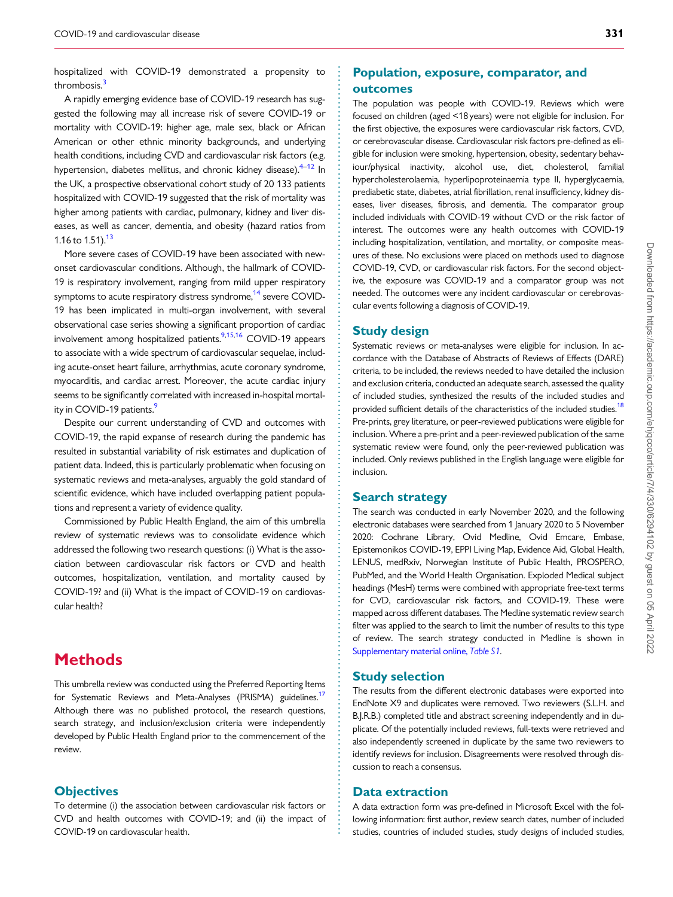<span id="page-2-0"></span>. hospitalized with COVID-19 demonstrated a propensity to thrombosis.<sup>[3](#page-9-0)</sup>

A rapidly emerging evidence base of COVID-19 research has suggested the following may all increase risk of severe COVID-19 or mortality with COVID-19: higher age, male sex, black or African American or other ethnic minority backgrounds, and underlying health conditions, including CVD and cardiovascular risk factors (e.g. hypertension, diabetes mellitus, and chronic kidney disease). $4-12$  $4-12$  In the UK, a prospective observational cohort study of 20 133 patients hospitalized with COVID-19 suggested that the risk of mortality was higher among patients with cardiac, pulmonary, kidney and liver diseases, as well as cancer, dementia, and obesity (hazard ratios from 1.16 to 1.51). $13$ 

More severe cases of COVID-19 have been associated with newonset cardiovascular conditions. Although, the hallmark of COVID-19 is respiratory involvement, ranging from mild upper respiratory symptoms to acute respiratory distress syndrome,<sup>[14](#page-9-0)</sup> severe COVID-19 has been implicated in multi-organ involvement, with several observational case series showing a significant proportion of cardiac involvement among hospitalized patients.<sup>[9,15,16](#page-9-0)</sup> COVID-19 appears to associate with a wide spectrum of cardiovascular sequelae, including acute-onset heart failure, arrhythmias, acute coronary syndrome, myocarditis, and cardiac arrest. Moreover, the acute cardiac injury seems to be significantly correlated with increased in-hospital mortality in COVID-19 patients.<sup>9</sup>

Despite our current understanding of CVD and outcomes with COVID-19, the rapid expanse of research during the pandemic has resulted in substantial variability of risk estimates and duplication of patient data. Indeed, this is particularly problematic when focusing on systematic reviews and meta-analyses, arguably the gold standard of scientific evidence, which have included overlapping patient populations and represent a variety of evidence quality.

Commissioned by Public Health England, the aim of this umbrella review of systematic reviews was to consolidate evidence which addressed the following two research questions: (i) What is the association between cardiovascular risk factors or CVD and health outcomes, hospitalization, ventilation, and mortality caused by COVID-19? and (ii) What is the impact of COVID-19 on cardiovascular health?

# **Methods**

This umbrella review was conducted using the Preferred Reporting Items for Systematic Reviews and Meta-Analyses (PRISMA) guidelines.<sup>17</sup> Although there was no published protocol, the research questions, search strategy, and inclusion/exclusion criteria were independently developed by Public Health England prior to the commencement of the review.

#### **Objectives**

To determine (i) the association between cardiovascular risk factors or CVD and health outcomes with COVID-19; and (ii) the impact of COVID-19 on cardiovascular health.

### Population, exposure, comparator, and outcomes

The population was people with COVID-19. Reviews which were focused on children (aged <18 years) were not eligible for inclusion. For the first objective, the exposures were cardiovascular risk factors, CVD, or cerebrovascular disease. Cardiovascular risk factors pre-defined as eligible for inclusion were smoking, hypertension, obesity, sedentary behaviour/physical inactivity, alcohol use, diet, cholesterol, familial hypercholesterolaemia, hyperlipoproteinaemia type II, hyperglycaemia, prediabetic state, diabetes, atrial fibrillation, renal insufficiency, kidney diseases, liver diseases, fibrosis, and dementia. The comparator group included individuals with COVID-19 without CVD or the risk factor of interest. The outcomes were any health outcomes with COVID-19 including hospitalization, ventilation, and mortality, or composite measures of these. No exclusions were placed on methods used to diagnose COVID-19, CVD, or cardiovascular risk factors. For the second objective, the exposure was COVID-19 and a comparator group was not needed. The outcomes were any incident cardiovascular or cerebrovascular events following a diagnosis of COVID-19.

#### Study design

Systematic reviews or meta-analyses were eligible for inclusion. In accordance with the Database of Abstracts of Reviews of Effects (DARE) criteria, to be included, the reviews needed to have detailed the inclusion and exclusion criteria, conducted an adequate search, assessed the quality of included studies, synthesized the results of the included studies and provided sufficient details of the characteristics of the included studies.<sup>18</sup> Pre-prints, grey literature, or peer-reviewed publications were eligible for inclusion. Where a pre-print and a peer-reviewed publication of the same systematic review were found, only the peer-reviewed publication was included. Only reviews published in the English language were eligible for inclusion.

#### Search strategy

The search was conducted in early November 2020, and the following electronic databases were searched from 1 January 2020 to 5 November 2020: Cochrane Library, Ovid Medline, Ovid Emcare, Embase, Epistemonikos COVID-19, EPPI Living Map, Evidence Aid, Global Health, LENUS, medRxiv, Norwegian Institute of Public Health, PROSPERO, PubMed, and the World Health Organisation. Exploded Medical subject headings (MesH) terms were combined with appropriate free-text terms for CVD, cardiovascular risk factors, and COVID-19. These were mapped across different databases. The Medline systematic review search filter was applied to the search to limit the number of results to this type of review. The search strategy conducted in Medline is shown in [Supplementary material online,](https://academic.oup.com/ehjqcco/article-lookup/doi/10.1093/ehjqcco/qcab029#supplementary-data) Table S1.

#### Study selection

The results from the different electronic databases were exported into EndNote X9 and duplicates were removed. Two reviewers (S.L.H. and B.J.R.B.) completed title and abstract screening independently and in duplicate. Of the potentially included reviews, full-texts were retrieved and also independently screened in duplicate by the same two reviewers to identify reviews for inclusion. Disagreements were resolved through discussion to reach a consensus.

#### Data extraction

. . . . . . . . . . . . . . . . . . . . . . . . . . . . . . . . . . . . . . . . . . . . . . . . . . . . . . . . . . . . . . . . . . . . . . . . . . . . . . . . . . . . . . . . . . . . . . . . . . . . . . . . . . . . . . . . . . . . . . . . . . . . . . . . . . . . . . . . . . . . . . . . . . . . . . . . . . . . . . . . . . . . . . . . . . . .

A data extraction form was pre-defined in Microsoft Excel with the following information: first author, review search dates, number of included studies, countries of included studies, study designs of included studies,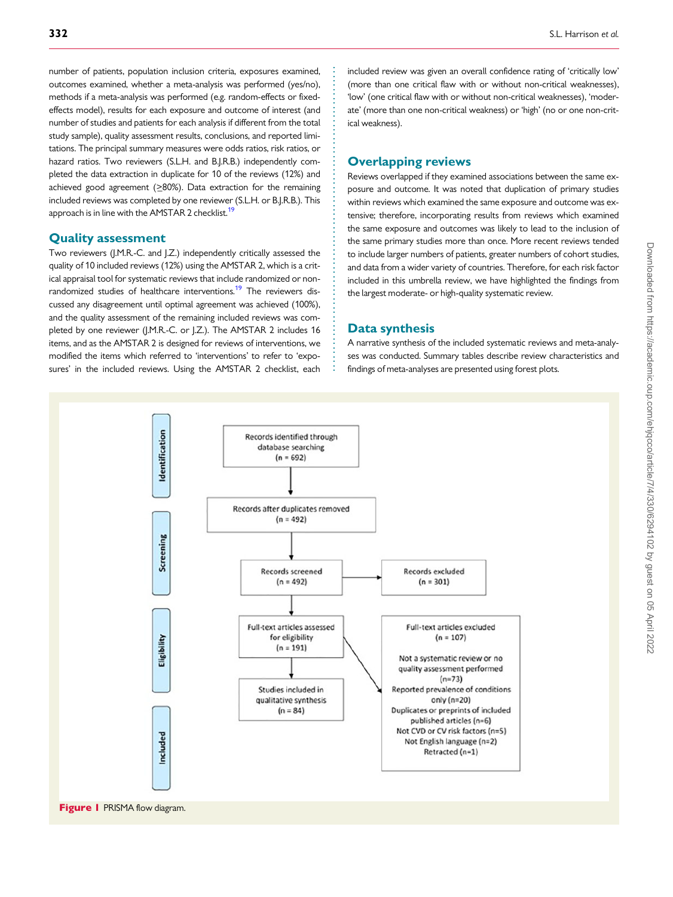<span id="page-3-0"></span>. number of patients, population inclusion criteria, exposures examined, outcomes examined, whether a meta-analysis was performed (yes/no), methods if a meta-analysis was performed (e.g. random-effects or fixedeffects model), results for each exposure and outcome of interest (and number of studies and patients for each analysis if different from the total study sample), quality assessment results, conclusions, and reported limitations. The principal summary measures were odds ratios, risk ratios, or hazard ratios. Two reviewers (S.L.H. and B.I.R.B.) independently completed the data extraction in duplicate for 10 of the reviews (12%) and achieved good agreement (>80%). Data extraction for the remaining included reviews was completed by one reviewer (S.L.H. or B.J.R.B.). This approach is in line with the AMSTAR 2 checklist.<sup>19</sup>

#### Quality assessment

Two reviewers (J.M.R.-C. and J.Z.) independently critically assessed the quality of 10 included reviews (12%) using the AMSTAR 2, which is a critical appraisal tool for systematic reviews that include randomized or non-randomized studies of healthcare interventions.<sup>[19](#page-9-0)</sup> The reviewers discussed any disagreement until optimal agreement was achieved (100%), and the quality assessment of the remaining included reviews was completed by one reviewer (J.M.R.-C. or J.Z.). The AMSTAR 2 includes 16 items, and as the AMSTAR 2 is designed for reviews of interventions, we modified the items which referred to 'interventions' to refer to 'exposures' in the included reviews. Using the AMSTAR 2 checklist, each included review was given an overall confidence rating of 'critically low' (more than one critical flaw with or without non-critical weaknesses), 'low' (one critical flaw with or without non-critical weaknesses), 'moderate' (more than one non-critical weakness) or 'high' (no or one non-critical weakness).

#### Overlapping reviews

Reviews overlapped if they examined associations between the same exposure and outcome. It was noted that duplication of primary studies within reviews which examined the same exposure and outcome was extensive; therefore, incorporating results from reviews which examined the same exposure and outcomes was likely to lead to the inclusion of the same primary studies more than once. More recent reviews tended to include larger numbers of patients, greater numbers of cohort studies, and data from a wider variety of countries. Therefore, for each risk factor included in this umbrella review, we have highlighted the findings from the largest moderate- or high-quality systematic review.

#### Data synthesis

. . . . . . . . . . . . . . . . . . . . . . . . . . . . . . . . . . . . . . . . . . . . . . . . . . . . . . . . . . . . . . . . . . . .

A narrative synthesis of the included systematic reviews and meta-analyses was conducted. Summary tables describe review characteristics and findings of meta-analyses are presented using forest plots.

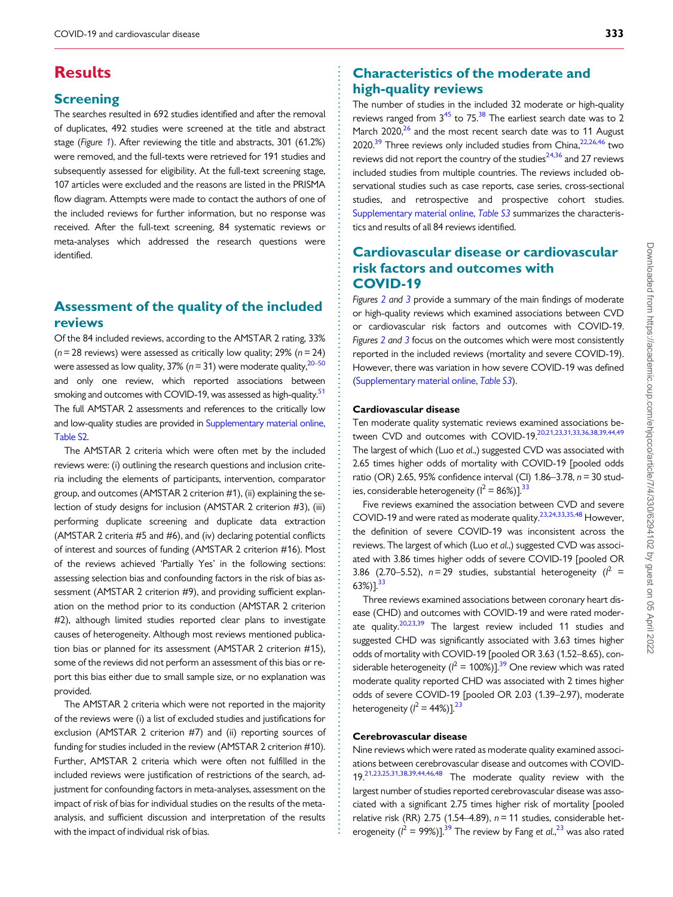# <span id="page-4-0"></span>**Results**

### **Screening**

The searches resulted in 692 studies identified and after the removal of duplicates, 492 studies were screened at the title and abstract stage (Figure [1](#page-3-0)). After reviewing the title and abstracts, 301 (61.2%) were removed, and the full-texts were retrieved for 191 studies and subsequently assessed for eligibility. At the full-text screening stage, 107 articles were excluded and the reasons are listed in the PRISMA flow diagram. Attempts were made to contact the authors of one of the included reviews for further information, but no response was received. After the full-text screening, 84 systematic reviews or meta-analyses which addressed the research questions were identified.

# Assessment of the quality of the included reviews

Of the 84 included reviews, according to the AMSTAR 2 rating, 33%  $(n= 28$  reviews) were assessed as critically low quality; 29%  $(n= 24)$ were assessed as low quality,  $37\%$  ( $n=31$ ) were moderate quality,  $20-50$  $20-50$ and only one review, which reported associations between smoking and outcomes with COVID-19, was assessed as high-quality.<sup>[51](#page-10-0)</sup> The full AMSTAR 2 assessments and references to the critically low and low-quality studies are provided in [Supplementary material online,](https://academic.oup.com/ehjqcco/article-lookup/doi/10.1093/ehjqcco/qcab029#supplementary-data) [Table S2](https://academic.oup.com/ehjqcco/article-lookup/doi/10.1093/ehjqcco/qcab029#supplementary-data).

The AMSTAR 2 criteria which were often met by the included reviews were: (i) outlining the research questions and inclusion criteria including the elements of participants, intervention, comparator group, and outcomes (AMSTAR 2 criterion #1), (ii) explaining the selection of study designs for inclusion (AMSTAR 2 criterion #3), (iii) performing duplicate screening and duplicate data extraction (AMSTAR 2 criteria #5 and #6), and (iv) declaring potential conflicts of interest and sources of funding (AMSTAR 2 criterion #16). Most of the reviews achieved 'Partially Yes' in the following sections: assessing selection bias and confounding factors in the risk of bias assessment (AMSTAR 2 criterion #9), and providing sufficient explanation on the method prior to its conduction (AMSTAR 2 criterion #2), although limited studies reported clear plans to investigate causes of heterogeneity. Although most reviews mentioned publication bias or planned for its assessment (AMSTAR 2 criterion #15), some of the reviews did not perform an assessment of this bias or report this bias either due to small sample size, or no explanation was provided.

The AMSTAR 2 criteria which were not reported in the majority of the reviews were (i) a list of excluded studies and justifications for exclusion (AMSTAR 2 criterion #7) and (ii) reporting sources of funding for studies included in the review (AMSTAR 2 criterion #10). Further, AMSTAR 2 criteria which were often not fulfilled in the included reviews were justification of restrictions of the search, adjustment for confounding factors in meta-analyses, assessment on the impact of risk of bias for individual studies on the results of the metaanalysis, and sufficient discussion and interpretation of the results with the impact of individual risk of bias.

# Characteristics of the moderate and high-quality reviews

The number of studies in the included 32 moderate or high-quality reviews ranged from  $3^{45}$  to 75.<sup>38</sup> The earliest search date was to 2 March  $2020$ , $26$  and the most recent search date was to 11 August 2020.<sup>39</sup> Three reviews only included studies from China,<sup>22,26,[46](#page-10-0)</sup> two reviews did not report the country of the studies<sup>24,36</sup> and 27 reviews included studies from multiple countries. The reviews included observational studies such as case reports, case series, cross-sectional studies, and retrospective and prospective cohort studies. [Supplementary material online,](https://academic.oup.com/ehjqcco/article-lookup/doi/10.1093/ehjqcco/qcab029#supplementary-data) Table S3 summarizes the characteristics and results of all 84 reviews identified.

## Cardiovascular disease or cardiovascular risk factors and outcomes with COVID-19

Figures [2](#page-5-0) and [3](#page-5-0) provide a summary of the main findings of moderate or high-quality reviews which examined associations between CVD or cardiovascular risk factors and outcomes with COVID-19. Figures [2](#page-5-0) and [3](#page-5-0) focus on the outcomes which were most consistently reported in the included reviews (mortality and severe COVID-19). However, there was variation in how severe COVID-19 was defined [\(Supplementary material online,](https://academic.oup.com/ehjqcco/article-lookup/doi/10.1093/ehjqcco/qcab029#supplementary-data) Table S3).

#### Cardiovascular disease

Ten moderate quality systematic reviews examined associations between CVD and outcomes with COVID-19.[20,21,23,31,33](#page-9-0),[36,38,39,44,](#page-9-0)[49](#page-10-0) The largest of which (Luo et al.,) suggested CVD was associated with 2.65 times higher odds of mortality with COVID-19 [pooled odds ratio (OR) 2.65, 95% confidence interval (CI)  $1.86 - 3.78$ ,  $n = 30$  studies, considerable heterogeneity ( $I^2 = 86\%)$ ].<sup>[33](#page-9-0)</sup>

Five reviews examined the association between CVD and severe COVID-19 and were rated as moderate quality.[23](#page-9-0),[24,33,35,](#page-9-0)[48](#page-10-0) However, the definition of severe COVID-19 was inconsistent across the reviews. The largest of which (Luo et al.,) suggested CVD was associated with 3.86 times higher odds of severe COVID-19 [pooled OR 3.86 (2.70–5.52),  $n = 29$  studies, substantial heterogeneity ( $l^2$  =  $(63%)$ ].<sup>[33](#page-9-0)</sup>

Three reviews examined associations between coronary heart disease (CHD) and outcomes with COVID-19 and were rated moderate quality.  $20,23,39$  The largest review included 11 studies and suggested CHD was significantly associated with 3.63 times higher odds of mortality with COVID-19 [pooled OR 3.63 (1.52–8.65), considerable heterogeneity ( $l^2$  = 100%)]. $^{39}$  One review which was rated moderate quality reported CHD was associated with 2 times higher odds of severe COVID-19 [pooled OR 2.03 (1.39–2.97), moderate heterogeneity ( $l^2$  = 44%)].<sup>[23](#page-9-0)</sup>

#### Cerebrovascular disease

. . . . . . . . . . . . . . . . . . . . . . . . . . . . . . . . . . . . . . . . . . . . . . . . . . . . . . . . . . . . . . . . . . . . . . . . . . . . . . . . . . . . . . . . . . . . . . . . . . . . . . . . . . . . . . . . . . . . . . . . . . . . . . . . . . . . . . . . . . . . . . . . . . . . . . . . . . . . . . . . . . . . . . . . . . . .

Nine reviews which were rated as moderate quality examined associations between cerebrovascular disease and outcomes with COVID-19.[21](#page-9-0),[23,25,31,38,39](#page-9-0),[44](#page-9-0)[,46,48](#page-10-0) The moderate quality review with the largest number of studies reported cerebrovascular disease was associated with a significant 2.75 times higher risk of mortality [pooled relative risk (RR) 2.75 (1.54–4.89),  $n = 11$  studies, considerable heterogeneity ( $l^2 = 99\%)$ ].<sup>39</sup> The review by Fang et al.,<sup>[23](#page-9-0)</sup> was also rated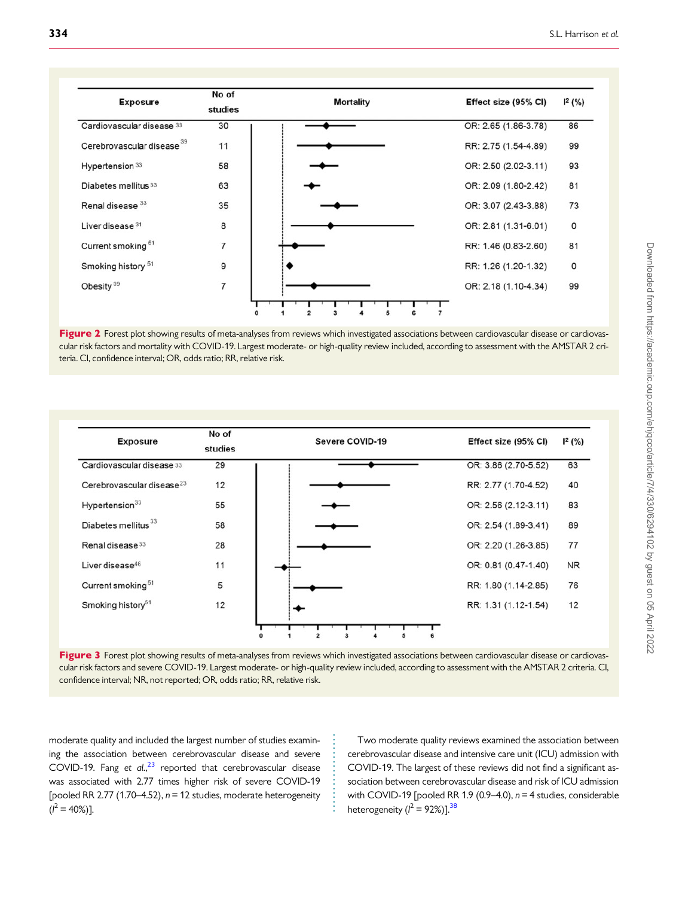<span id="page-5-0"></span>

| <b>Exposure</b>                       | No of<br>studies<br>30 | <b>Mortality</b> | Effect size (95% CI)<br>OR: 2.65 (1.86-3.78) | $1^2$ (%)<br>86 |
|---------------------------------------|------------------------|------------------|----------------------------------------------|-----------------|
| Cardiovascular disease 33             |                        |                  |                                              |                 |
| Cerebrovascular disease <sup>39</sup> | 11                     |                  | RR: 2.75 (1.54-4.89)                         | 99              |
| Hypertension <sup>33</sup>            | 58                     |                  | OR: 2.50 (2.02-3.11)                         | 93              |
| Diabetes mellitus 33                  | 63                     |                  | OR: 2.09 (1.80-2.42)                         | 81              |
| Renal disease 33                      | 35                     |                  | OR: 3.07 (2.43-3.88)                         | 73              |
| Liver disease 31                      | 8                      |                  | OR: 2.81 (1.31-6.01)                         | 0               |
| Current smoking <sup>51</sup>         | $\overline{7}$         |                  | RR: 1.46 (0.83-2.60)                         | 81              |
| Smoking history <sup>51</sup>         | 9                      |                  | RR: 1.26 (1.20-1.32)                         | 0               |
| Obesity <sup>39</sup>                 | $\overline{7}$         |                  | OR: 2.18 (1.10-4.34)                         | 99              |
|                                       |                        | っ                |                                              |                 |

Figure 2 Forest plot showing results of meta-analyses from reviews which investigated associations between cardiovascular disease or cardiovascular risk factors and mortality with COVID-19. Largest moderate- or high-quality review included, according to assessment with the AMSTAR 2 criteria. CI, confidence interval; OR, odds ratio; RR, relative risk.



Figure 3 Forest plot showing results of meta-analyses from reviews which investigated associations between cardiovascular disease or cardiovascular risk factors and severe COVID-19. Largest moderate- or high-quality review included, according to assessment with the AMSTAR 2 criteria. CI, confidence interval; NR, not reported; OR, odds ratio; RR, relative risk.

> . . . . . . . . . . . . . . . . .

. moderate quality and included the largest number of studies examining the association between cerebrovascular disease and severe COVID-19. Fang et  $al.$ <sup>[23](#page-9-0)</sup> reported that cerebrovascular disease was associated with 2.77 times higher risk of severe COVID-19 [pooled RR 2.77 (1.70–4.52),  $n = 12$  studies, moderate heterogeneity  $(l^2 = 40\%)$ ].

Two moderate quality reviews examined the association between cerebrovascular disease and intensive care unit (ICU) admission with COVID-19. The largest of these reviews did not find a significant association between cerebrovascular disease and risk of ICU admission with COVID-19 [pooled RR 1.9 (0.9–4.0),  $n = 4$  studies, considerable heterogeneity ( $l^2$  = 92%)].<sup>38</sup>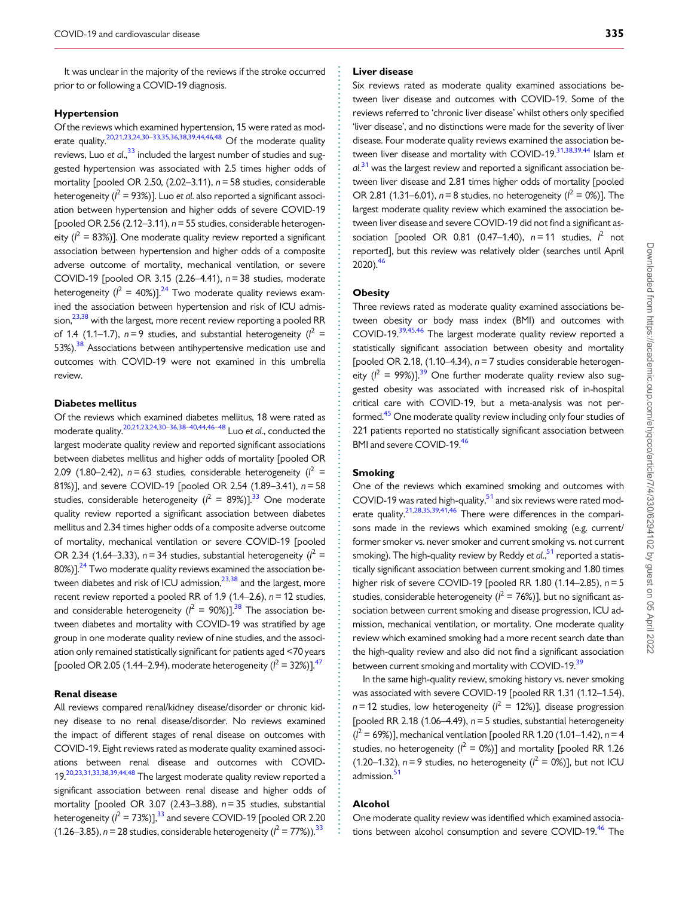<span id="page-6-0"></span>It was unclear in the majority of the reviews if the stroke occurred prior to or following a COVID-19 diagnosis.

#### Hypertension

Of the reviews which examined hypertension, 15 were rated as mod-erate quality.<sup>20,21,[23](#page-9-0),[24,30–33,35](#page-9-0),[36](#page-9-0),[38,39,44,](#page-9-0)[46,48](#page-10-0)</sup> Of the moderate quality reviews, Luo et al., $^{33}$  $^{33}$  $^{33}$  included the largest number of studies and suggested hypertension was associated with 2.5 times higher odds of mortality [pooled OR 2.50,  $(2.02-3.11)$ ,  $n = 58$  studies, considerable heterogeneity ( $l^2$  = 93%)]. Luo et al. also reported a significant association between hypertension and higher odds of severe COVID-19 [pooled OR 2.56 (2.12-3.11),  $n = 55$  studies, considerable heterogeneity ( $l^2 = 83\%)$ ]. One moderate quality review reported a significant association between hypertension and higher odds of a composite adverse outcome of mortality, mechanical ventilation, or severe COVID-19 [pooled OR 3.15 (2.26–4.41), n= 38 studies, moderate heterogeneity ( $l^2 = 40\%)$ ].<sup>24</sup> Two moderate quality reviews examined the association between hypertension and risk of ICU admission, $23,38$  $23,38$  $23,38$  with the largest, more recent review reporting a pooled RR of 1.4 (1.1–1.7),  $n=9$  studies, and substantial heterogeneity ( $l^2 =$ 53%).<sup>38</sup> Associations between antihypertensive medication use and outcomes with COVID-19 were not examined in this umbrella review.

#### Diabetes mellitus

Of the reviews which examined diabetes mellitus, 18 were rated as moderate quality[.20,21](#page-9-0),[23,24,30–36,38](#page-9-0)–[40](#page-9-0),[44](#page-9-0)[,46–48](#page-10-0) Luo et al., conducted the largest moderate quality review and reported significant associations between diabetes mellitus and higher odds of mortality [pooled OR 2.09 (1.80–2.42),  $n = 63$  studies, considerable heterogeneity ( $l^2 =$ 81%)], and severe COVID-19 [pooled OR 2.54 (1.89–3.41), n= 58 studies, considerable heterogeneity ( $l^2 = 89\%)$ ].<sup>33</sup> One moderate quality review reported a significant association between diabetes mellitus and 2.34 times higher odds of a composite adverse outcome of mortality, mechanical ventilation or severe COVID-19 [pooled OR 2.34 (1.64–3.33),  $n = 34$  studies, substantial heterogeneity ( $l^2 =$  $80\%)$ ].<sup>24</sup> Two moderate quality reviews examined the association between diabetes and risk of ICU admission, $23,38$  and the largest, more recent review reported a pooled RR of 1.9 (1.4–2.6),  $n = 12$  studies, and considerable heterogeneity ( $l^2 = 90\%)$ ].<sup>38</sup> The association between diabetes and mortality with COVID-19 was stratified by age group in one moderate quality review of nine studies, and the association only remained statistically significant for patients aged <70 years [pooled OR 2.05 (1.44–2.94), moderate heterogeneity ( $l^2$  = 32%)].<sup>[47](#page-10-0)</sup>

#### Renal disease

All reviews compared renal/kidney disease/disorder or chronic kidney disease to no renal disease/disorder. No reviews examined the impact of different stages of renal disease on outcomes with COVID-19. Eight reviews rated as moderate quality examined associations between renal disease and outcomes with COVID-19[.20,23,31,33](#page-9-0),[38,39,44,](#page-9-0)[48](#page-10-0) The largest moderate quality review reported a significant association between renal disease and higher odds of mortality [pooled OR 3.07 (2.43–3.88),  $n = 35$  studies, substantial heterogeneity ( $l^2$  = 73%)], $33$  and severe COVID-19 [pooled OR 2.20 (1.26–3.85),  $n = 28$  studies, considerable heterogeneity ( $l^2 = 77\%)$ ).<sup>33</sup>

#### Liver disease

Six reviews rated as moderate quality examined associations between liver disease and outcomes with COVID-19. Some of the reviews referred to 'chronic liver disease' whilst others only specified 'liver disease', and no distinctions were made for the severity of liver disease. Four moderate quality reviews examined the association between liver disease and mortality with COVID-19. $31,38,39,44$  Islam et al.<sup>[31](#page-9-0)</sup> was the largest review and reported a significant association between liver disease and 2.81 times higher odds of mortality [pooled OR 2.81 (1.31–6.01),  $n = 8$  studies, no heterogeneity ( $l^2 = 0$ %)]. The largest moderate quality review which examined the association between liver disease and severe COVID-19 did not find a significant association [pooled OR 0.81 (0.47–1.40),  $n = 11$  studies,  $l^2$  not reported], but this review was relatively older (searches until April 2020)[.46](#page-10-0)

#### **Obesity**

Three reviews rated as moderate quality examined associations between obesity or body mass index (BMI) and outcomes with COVID-19[.39](#page-9-0),[45](#page-10-0),[46](#page-10-0) The largest moderate quality review reported a statistically significant association between obesity and mortality [pooled OR 2.18,  $(1.10-4.34)$ ,  $n = 7$  studies considerable heterogeneity ( $l^2$  = 99%)].<sup>[39](#page-9-0)</sup> One further moderate quality review also suggested obesity was associated with increased risk of in-hospital critical care with COVID-19, but a meta-analysis was not per-formed.<sup>[45](#page-10-0)</sup> One moderate quality review including only four studies of 221 patients reported no statistically significant association between BMI and severe COVID-19[.46](#page-10-0)

#### Smoking

One of the reviews which examined smoking and outcomes with COVID-19 was rated high-quality, $51$  and six reviews were rated mod-erate quality.<sup>[21,28,35,39,41](#page-9-0),[46](#page-10-0)</sup> There were differences in the comparisons made in the reviews which examined smoking (e.g. current/ former smoker vs. never smoker and current smoking vs. not current smoking). The high-quality review by Reddy et al.,<sup>[51](#page-10-0)</sup> reported a statistically significant association between current smoking and 1.80 times higher risk of severe COVID-19 [pooled RR 1.80  $(1.14-2.85)$ ,  $n=5$ studies, considerable heterogeneity ( $l^2 = 76\%)$ ], but no significant association between current smoking and disease progression, ICU admission, mechanical ventilation, or mortality. One moderate quality review which examined smoking had a more recent search date than the high-quality review and also did not find a significant association between current smoking and mortality with COVID-19.<sup>[39](#page-9-0)</sup>

In the same high-quality review, smoking history vs. never smoking was associated with severe COVID-19 [pooled RR 1.31 (1.12–1.54),  $n = 12$  studies, low heterogeneity ( $l^2 = 12\%)$ ], disease progression [pooled RR 2.18 (1.06–4.49),  $n = 5$  studies, substantial heterogeneity  $(l^2 = 69\%)$ ], mechanical ventilation [pooled RR 1.20 (1.01–1.42), n = 4 studies, no heterogeneity ( $l^2 = 0\%)$ ] and mortality [pooled RR 1.26 (1.20–1.32),  $n = 9$  studies, no heterogeneity ( $l^2 = 0$ %)], but not ICU admission.<sup>51</sup>

#### Alcohol

. . . . . . . . . . . . . . . . . . . . . . . . . . . . . . . . . . . . . . . . . . . . . . . . . . . . . . . . . . . . . . . . . . . . . . . . . . . . . . . . . . . . . . . . . . . . . . . . . . . . . . . . . . . . . . . . . . . . . . . . . . . . . . . . . . . . . . . . . . . . . . . . . . . . . . . . . . . . . . . . . . . . . . . . . . . .

One moderate quality review was identified which examined associations between alcohol consumption and severe COVID-19.<sup>46</sup> The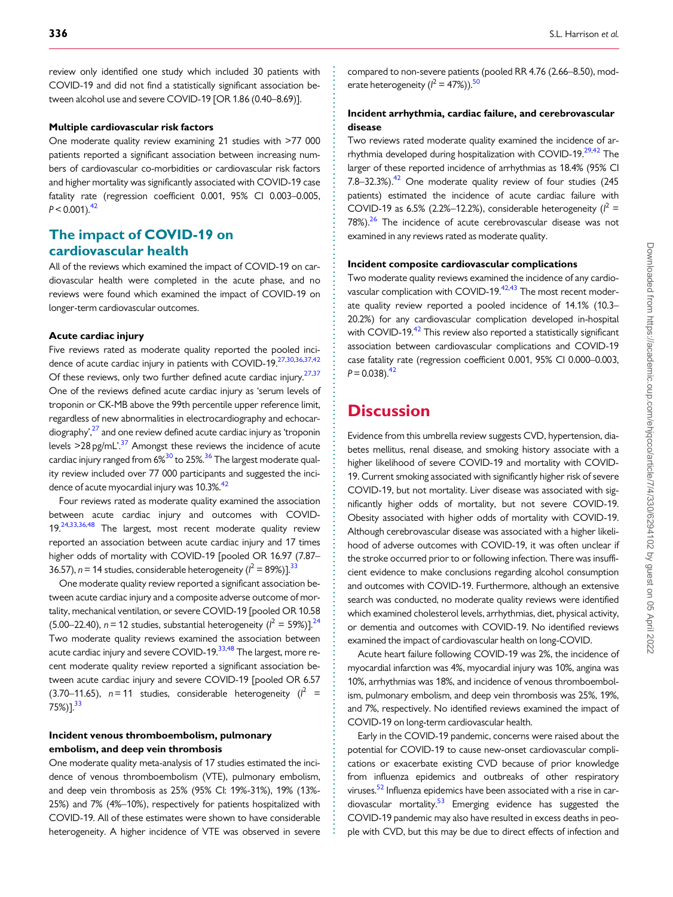<span id="page-7-0"></span>. review only identified one study which included 30 patients with COVID-19 and did not find a statistically significant association between alcohol use and severe COVID-19 [OR 1.86 (0.40–8.69)].

#### Multiple cardiovascular risk factors

One moderate quality review examining 21 studies with >77 000 patients reported a significant association between increasing numbers of cardiovascular co-morbidities or cardiovascular risk factors and higher mortality was significantly associated with COVID-19 case fatality rate (regression coefficient 0.001, 95% CI 0.003–0.005,  $P < 0.001$ .<sup>[42](#page-9-0)</sup>

### The impact of COVID-19 on cardiovascular health

All of the reviews which examined the impact of COVID-19 on cardiovascular health were completed in the acute phase, and no reviews were found which examined the impact of COVID-19 on longer-term cardiovascular outcomes.

#### Acute cardiac injury

Five reviews rated as moderate quality reported the pooled inci-dence of acute cardiac injury in patients with COVID-19.<sup>[27](#page-9-0),[30,36,37,42](#page-9-0)</sup> Of these reviews, only two further defined acute cardiac injury.<sup>27,37</sup> One of the reviews defined acute cardiac injury as 'serum levels of troponin or CK-MB above the 99th percentile upper reference limit, regardless of new abnormalities in electrocardiography and echocar- $\langle$  diography', $^{27}$  and one review defined acute cardiac injury as 'troponin levels  $>$ 28 pg/mL'.<sup>[37](#page-9-0)</sup> Amongst these reviews the incidence of acute cardiac injury ranged from 6%<sup>30</sup> to 25%.<sup>36</sup> The largest moderate quality review included over 77 000 participants and suggested the inci-dence of acute myocardial injury was 10.3%.<sup>[42](#page-9-0)</sup>

Four reviews rated as moderate quality examined the association between acute cardiac injury and outcomes with COVID-19.<sup>[24](#page-9-0),[33,36](#page-9-0)[,48](#page-10-0)</sup> The largest, most recent moderate quality review reported an association between acute cardiac injury and 17 times higher odds of mortality with COVID-19 [pooled OR 16.97 (7.87– 36.57),  $n = 14$  studies, considerable heterogeneity ( $l^2 = 89\%)$ ].<sup>33</sup>

One moderate quality review reported a significant association between acute cardiac injury and a composite adverse outcome of mortality, mechanical ventilation, or severe COVID-19 [pooled OR 10.58 (5.00–22.40),  $n = 12$  studies, substantial heterogeneity ( $l^2 = 59\%)$ ].<sup>24</sup> Two moderate quality reviews examined the association between acute cardiac injury and severe COVID-19.<sup>33,[48](#page-10-0)</sup> The largest, more recent moderate quality review reported a significant association between acute cardiac injury and severe COVID-19 [pooled OR 6.57 (3.70–11.65),  $n = 11$  studies, considerable heterogeneity ( $l^2$  =  $75\%)$ ].<sup>[33](#page-9-0)</sup>

#### Incident venous thromboembolism, pulmonary embolism, and deep vein thrombosis

One moderate quality meta-analysis of 17 studies estimated the incidence of venous thromboembolism (VTE), pulmonary embolism, and deep vein thrombosis as 25% (95% CI: 19%-31%), 19% (13%- 25%) and 7% (4%–10%), respectively for patients hospitalized with COVID-19. All of these estimates were shown to have considerable heterogeneity. A higher incidence of VTE was observed in severe compared to non-severe patients (pooled RR 4.76 (2.66–8.50), moderate heterogeneity ( $l^2 = 47\%)$ ).<sup>50</sup>

#### Incident arrhythmia, cardiac failure, and cerebrovascular disease

Two reviews rated moderate quality examined the incidence of arrhythmia developed during hospitalization with COVID-19.<sup>29,42</sup> The larger of these reported incidence of arrhythmias as 18.4% (95% CI 7.8–32.3%). $42$  One moderate quality review of four studies (245) patients) estimated the incidence of acute cardiac failure with COVID-19 as 6.5% (2.2%–12.2%), considerable heterogeneity ( $l^2$  =  $78\%$ ).<sup>26</sup> The incidence of acute cerebrovascular disease was not examined in any reviews rated as moderate quality.

#### Incident composite cardiovascular complications

Two moderate quality reviews examined the incidence of any cardio-vascular complication with COVID-19.<sup>[42,43](#page-9-0)</sup> The most recent moderate quality review reported a pooled incidence of 14.1% (10.3– 20.2%) for any cardiovascular complication developed in-hospital with COVID-19.<sup>42</sup> This review also reported a statistically significant association between cardiovascular complications and COVID-19 case fatality rate (regression coefficient 0.001, 95% CI 0.000–0.003,  $P = 0.038$ .<sup>42</sup>

# **Discussion**

. . . . . . . . . . . . . . . . . . . . . . . . . . . . . . . . . . . . . . . . . . . . . . . . . . . . . . . . . . . . . . . . . . . . . . . . . . . . . . . . . . . . . . . . . . . . . . . . . . . . . . . . . . . . . . . . . . . . . . . . . . . . . . . . . . . . . . . . . . . . . . . . . . . . . . . . . . . . . . . . . . . . . . . . . . . .

Evidence from this umbrella review suggests CVD, hypertension, diabetes mellitus, renal disease, and smoking history associate with a higher likelihood of severe COVID-19 and mortality with COVID-19. Current smoking associated with significantly higher risk of severe COVID-19, but not mortality. Liver disease was associated with significantly higher odds of mortality, but not severe COVID-19. Obesity associated with higher odds of mortality with COVID-19. Although cerebrovascular disease was associated with a higher likelihood of adverse outcomes with COVID-19, it was often unclear if the stroke occurred prior to or following infection. There was insufficient evidence to make conclusions regarding alcohol consumption and outcomes with COVID-19. Furthermore, although an extensive search was conducted, no moderate quality reviews were identified which examined cholesterol levels, arrhythmias, diet, physical activity, or dementia and outcomes with COVID-19. No identified reviews examined the impact of cardiovascular health on long-COVID.

Acute heart failure following COVID-19 was 2%, the incidence of myocardial infarction was 4%, myocardial injury was 10%, angina was 10%, arrhythmias was 18%, and incidence of venous thromboembolism, pulmonary embolism, and deep vein thrombosis was 25%, 19%, and 7%, respectively. No identified reviews examined the impact of COVID-19 on long-term cardiovascular health.

Early in the COVID-19 pandemic, concerns were raised about the potential for COVID-19 to cause new-onset cardiovascular complications or exacerbate existing CVD because of prior knowledge from influenza epidemics and outbreaks of other respiratory viruses.<sup>52</sup> Influenza epidemics have been associated with a rise in cardiovascular mortality.<sup>53</sup> Emerging evidence has suggested the COVID-19 pandemic may also have resulted in excess deaths in people with CVD, but this may be due to direct effects of infection and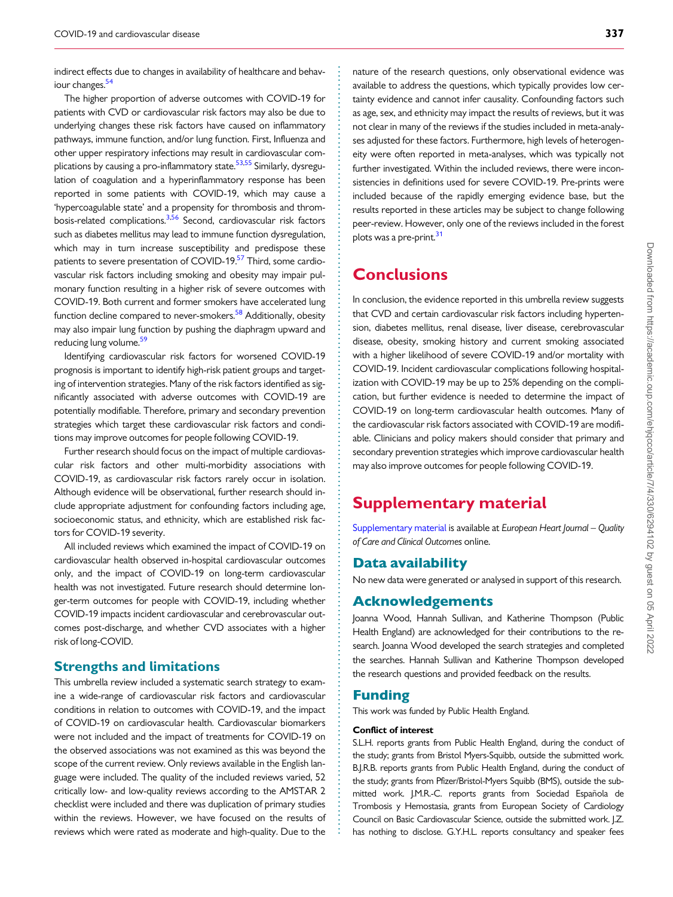<span id="page-8-0"></span>indirect effects due to changes in availability of healthcare and behaviour changes.<sup>54</sup>

The higher proportion of adverse outcomes with COVID-19 for patients with CVD or cardiovascular risk factors may also be due to underlying changes these risk factors have caused on inflammatory pathways, immune function, and/or lung function. First, Influenza and other upper respiratory infections may result in cardiovascular com-plications by causing a pro-inflammatory state.<sup>[53,55](#page-10-0)</sup> Similarly, dysregulation of coagulation and a hyperinflammatory response has been reported in some patients with COVID-19, which may cause a 'hypercoagulable state' and a propensity for thrombosis and throm-bosis-related complications.<sup>3,[56](#page-10-0)</sup> Second, cardiovascular risk factors such as diabetes mellitus may lead to immune function dysregulation, which may in turn increase susceptibility and predispose these patients to severe presentation of COVID-19.<sup>[57](#page-10-0)</sup> Third, some cardiovascular risk factors including smoking and obesity may impair pulmonary function resulting in a higher risk of severe outcomes with COVID-19. Both current and former smokers have accelerated lung function decline compared to never-smokers.<sup>58</sup> Additionally, obesity may also impair lung function by pushing the diaphragm upward and reducing lung volume.<sup>[59](#page-10-0)</sup>

Identifying cardiovascular risk factors for worsened COVID-19 prognosis is important to identify high-risk patient groups and targeting of intervention strategies. Many of the risk factors identified as significantly associated with adverse outcomes with COVID-19 are potentially modifiable. Therefore, primary and secondary prevention strategies which target these cardiovascular risk factors and conditions may improve outcomes for people following COVID-19.

Further research should focus on the impact of multiple cardiovascular risk factors and other multi-morbidity associations with COVID-19, as cardiovascular risk factors rarely occur in isolation. Although evidence will be observational, further research should include appropriate adjustment for confounding factors including age, socioeconomic status, and ethnicity, which are established risk factors for COVID-19 severity.

All included reviews which examined the impact of COVID-19 on cardiovascular health observed in-hospital cardiovascular outcomes only, and the impact of COVID-19 on long-term cardiovascular health was not investigated. Future research should determine longer-term outcomes for people with COVID-19, including whether COVID-19 impacts incident cardiovascular and cerebrovascular outcomes post-discharge, and whether CVD associates with a higher risk of long-COVID.

### Strengths and limitations

This umbrella review included a systematic search strategy to examine a wide-range of cardiovascular risk factors and cardiovascular conditions in relation to outcomes with COVID-19, and the impact of COVID-19 on cardiovascular health. Cardiovascular biomarkers were not included and the impact of treatments for COVID-19 on the observed associations was not examined as this was beyond the scope of the current review. Only reviews available in the English language were included. The quality of the included reviews varied, 52 critically low- and low-quality reviews according to the AMSTAR 2 checklist were included and there was duplication of primary studies within the reviews. However, we have focused on the results of reviews which were rated as moderate and high-quality. Due to the

nature of the research questions, only observational evidence was available to address the questions, which typically provides low certainty evidence and cannot infer causality. Confounding factors such as age, sex, and ethnicity may impact the results of reviews, but it was not clear in many of the reviews if the studies included in meta-analyses adjusted for these factors. Furthermore, high levels of heterogeneity were often reported in meta-analyses, which was typically not further investigated. Within the included reviews, there were inconsistencies in definitions used for severe COVID-19. Pre-prints were included because of the rapidly emerging evidence base, but the results reported in these articles may be subject to change following peer-review. However, only one of the reviews included in the forest plots was a pre-print.<sup>[31](#page-9-0)</sup>

# **Conclusions**

In conclusion, the evidence reported in this umbrella review suggests that CVD and certain cardiovascular risk factors including hypertension, diabetes mellitus, renal disease, liver disease, cerebrovascular disease, obesity, smoking history and current smoking associated with a higher likelihood of severe COVID-19 and/or mortality with COVID-19. Incident cardiovascular complications following hospitalization with COVID-19 may be up to 25% depending on the complication, but further evidence is needed to determine the impact of COVID-19 on long-term cardiovascular health outcomes. Many of the cardiovascular risk factors associated with COVID-19 are modifiable. Clinicians and policy makers should consider that primary and secondary prevention strategies which improve cardiovascular health may also improve outcomes for people following COVID-19.

# Supplementary material

[Supplementary material](https://academic.oup.com/ehjqcco/article-lookup/doi/10.1093/ehjqcco/qcab029#supplementary-data) is available at European Heart Journal – Quality of Care and Clinical Outcomes online.

### Data availability

No new data were generated or analysed in support of this research.

### Acknowledgements

Joanna Wood, Hannah Sullivan, and Katherine Thompson (Public Health England) are acknowledged for their contributions to the research. Joanna Wood developed the search strategies and completed the searches. Hannah Sullivan and Katherine Thompson developed the research questions and provided feedback on the results.

#### Funding

. . . . . . . . . . . . . . . . . . . . . . . . . . . . . . . . . . . . . . . . . . . . . . . . . . . . . . . . . . . . . . . . . . . . . . . . . . . . . . . . . . . . . . . . . . . . . . . . . . . . . . . . . . . . . . . . . . . . . . . . . . . . . . . . . . . . . . . . . . . . . . . . . . . . . . . . . . . . . . . . . . . . . . . . . . . .

This work was funded by Public Health England.

#### Conflict of interest

S.L.H. reports grants from Public Health England, during the conduct of the study; grants from Bristol Myers-Squibb, outside the submitted work. B.J.R.B. reports grants from Public Health England, during the conduct of the study; grants from Pfizer/Bristol-Myers Squibb (BMS), outside the submitted work. J.M.R.-C. reports grants from Sociedad Española de Trombosis y Hemostasia, grants from European Society of Cardiology Council on Basic Cardiovascular Science, outside the submitted work. J.Z. has nothing to disclose. G.Y.H.L. reports consultancy and speaker fees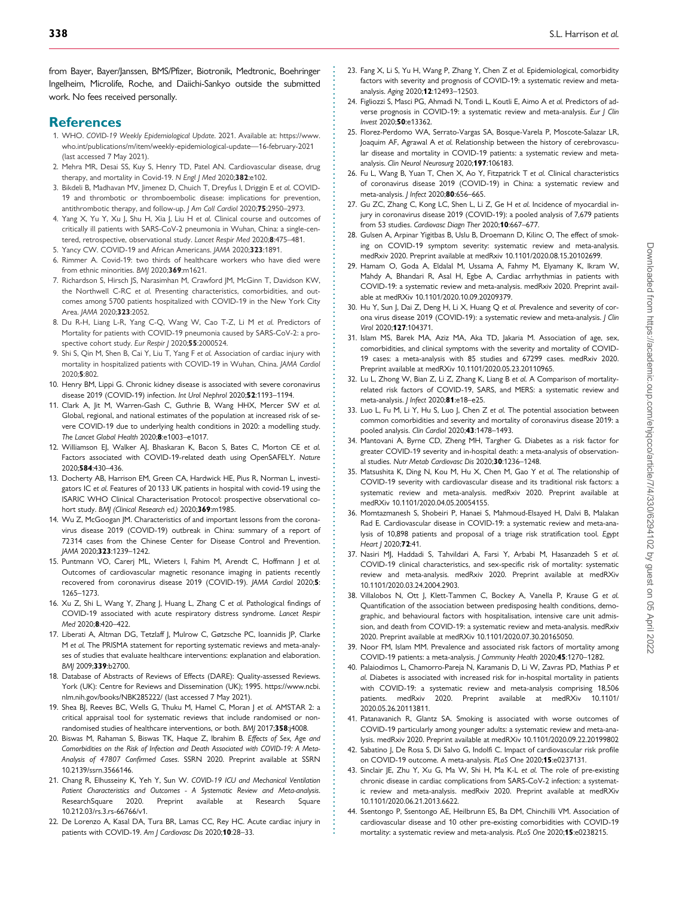<span id="page-9-0"></span>. from Bayer, Bayer/Janssen, BMS/Pfizer, Biotronik, Medtronic, Boehringer Ingelheim, Microlife, Roche, and Daiichi-Sankyo outside the submitted work. No fees received personally.

#### **References**

- [1](#page-1-0). WHO. COVID-19 Weekly Epidemiological Update. 2021. Available at: [https://www.](https://www.who.int/publications/m/item/weekly-epidemiological-update---16-february-2021) [who.int/publications/m/item/weekly-epidemiological-update—16-february-2021](https://www.who.int/publications/m/item/weekly-epidemiological-update---16-february-2021) (last accessed 7 May 2021).
- [2](#page-1-0). Mehra MR, Desai SS, Kuy S, Henry TD, Patel AN. Cardiovascular disease, drug therapy, and mortality in Covid-19. N Engl J Med 2020;382:e102.
- [3](#page-2-0). Bikdeli B, Madhavan MV, Jimenez D, Chuich T, Dreyfus I, Driggin E et al. COVID-19 and thrombotic or thromboembolic disease: implications for prevention, antithrombotic therapy, and follow-up. J Am Coll Cardiol 2020;75:2950–2973.
- 4. Yang X, Yu Y, Xu J, Shu H, Xia J, Liu H et al. Clinical course and outcomes of critically ill patients with SARS-CoV-2 pneumonia in Wuhan, China: a single-centered, retrospective, observational study. Lancet Respir Med 2020;8:475–481.
- 5. Yancy CW. COVID-19 and African Americans. JAMA 2020;323:1891.
- 6. Rimmer A. Covid-19: two thirds of healthcare workers who have died were from ethnic minorities. BMI 2020:369:m1621.
- 7. Richardson S, Hirsch JS, Narasimhan M, Crawford JM, McGinn T, Davidson KW, the Northwell C-RC et al. Presenting characteristics, comorbidities, and outcomes among 5700 patients hospitalized with COVID-19 in the New York City Area. JAMA 2020;323:2052.
- 8. Du R-H, Liang L-R, Yang C-Q, Wang W, Cao T-Z, Li M et al. Predictors of Mortality for patients with COVID-19 pneumonia caused by SARS-CoV-2: a prospective cohort study. Eur Respir J 2020;55:2000524.
- [9](#page-2-0). Shi S, Qin M, Shen B, Cai Y, Liu T, Yang F et al. Association of cardiac injury with mortality in hospitalized patients with COVID-19 in Wuhan, China. JAMA Cardiol 2020;5:802.
- 10. Henry BM, Lippi G. Chronic kidney disease is associated with severe coronavirus disease 2019 (COVID-19) infection. Int Urol Nephrol 2020;52:1193–1194.
- 11. Clark A, Jit M, Warren-Gash C, Guthrie B, Wang HHX, Mercer SW et al. Global, regional, and national estimates of the population at increased risk of severe COVID-19 due to underlying health conditions in 2020: a modelling study. The Lancet Global Health 2020;8:e1003-e1017.
- 12. Williamson EJ, Walker AJ, Bhaskaran K, Bacon S, Bates C, Morton CE et al. Factors associated with COVID-19-related death using OpenSAFELY. Nature 2020;584:430–436.
- [13](#page-2-0). Docherty AB, Harrison EM, Green CA, Hardwick HE, Pius R, Norman L, investigators IC et al. Features of 20 133 UK patients in hospital with covid-19 using the ISARIC WHO Clinical Characterisation Protocol: prospective observational cohort study. BMJ (Clinical Research ed.) 2020;369:m1985.
- [14](#page-2-0). Wu Z, McGoogan JM. Characteristics of and important lessons from the coronavirus disease 2019 (COVID-19) outbreak in China: summary of a report of 72314 cases from the Chinese Center for Disease Control and Prevention. JAMA 2020;323:1239–1242.
- [15](#page-2-0). Puntmann VO, Carerj ML, Wieters I, Fahim M, Arendt C, Hoffmann J et al. Outcomes of cardiovascular magnetic resonance imaging in patients recently recovered from coronavirus disease 2019 (COVID-19). JAMA Cardiol 2020;5: 1265–1273.
- [16](#page-2-0). Xu Z, Shi L, Wang Y, Zhang J, Huang L, Zhang C et al. Pathological findings of COVID-19 associated with acute respiratory distress syndrome. Lancet Respir Med 2020;8:420–422.
- [17](#page-2-0). Liberati A, Altman DG, Tetzlaff J, Mulrow C, Gøtzsche PC, Ioannidis JP, Clarke M et al. The PRISMA statement for reporting systematic reviews and meta-analyses of studies that evaluate healthcare interventions: explanation and elaboration. BMJ 2009;339:b2700.
- [18](#page-2-0). Database of Abstracts of Reviews of Effects (DARE): Quality-assessed Reviews. York (UK): Centre for Reviews and Dissemination (UK); 1995. [https://www.ncbi.](https://www.ncbi.nlm.nih.gov/books/NBK285222/) [nlm.nih.gov/books/NBK285222/ \(last accessed 7 May 2021\).](https://www.ncbi.nlm.nih.gov/books/NBK285222/)
- [19](#page-3-0). Shea BJ, Reeves BC, Wells G, Thuku M, Hamel C, Moran J et al. AMSTAR 2: a critical appraisal tool for systematic reviews that include randomised or nonrandomised studies of healthcare interventions, or both. BMJ 2017;358:j4008.
- [20](#page-4-0). Biswas M, Rahaman S, Biswas TK, Haque Z, Ibrahim B. Effects of Sex, Age and Comorbidities on the Risk of Infection and Death Associated with COVID-19: A Meta-Analysis of 47807 Confirmed Cases. SSRN 2020. Preprint available at SSRN 10.2139/ssrn.3566146.
- [21](#page-4-0). Chang R, Elhusseiny K, Yeh Y, Sun W. COVID-19 ICU and Mechanical Ventilation Patient Characteristics and Outcomes - A Systematic Review and Meta-analysis. ResearchSquare 2020. Preprint available at Research Square 10.212.03/rs.3.rs-66766/v1.
- [22](#page-4-0). De Lorenzo A, Kasal DA, Tura BR, Lamas CC, Rey HC. Acute cardiac injury in patients with COVID-19. Am J Cardiovasc Dis 2020;10:28-33.

. . . . . . . . . . . . . . . . . . . . . . . . . . . . . . . . . . . . . . . . . . . . . . . . . . . . . . . . . . . . . . . . . . . . . . . . . . . . . . . . . . . . . . . . . . . . . . . . . . . . . . . . . . . . . . . . . . . . . . . . . . . . . . . . . . . . . . . . . . . . . . . . . . . . . . . . . . . . . . . . . . . . . . . . . . . .

- [23.](#page-4-0) Fang X, Li S, Yu H, Wang P, Zhang Y, Chen Z et al. Epidemiological, comorbidity factors with severity and prognosis of COVID-19: a systematic review and metaanalysis. Aging 2020;12:12493–12503.
- [24.](#page-4-0) Figliozzi S, Masci PG, Ahmadi N, Tondi L, Koutli E, Aimo A et al. Predictors of adverse prognosis in COVID-19: a systematic review and meta-analysis. Eur J Clin Invest 2020;50:e13362.
- [25.](#page-4-0) Florez-Perdomo WA, Serrato-Vargas SA, Bosque-Varela P, Moscote-Salazar LR, Joaquim AF, Agrawal A et al. Relationship between the history of cerebrovascular disease and mortality in COVID-19 patients: a systematic review and metaanalysis. Clin Neurol Neurosurg 2020;197:106183.
- [26.](#page-4-0) Fu L, Wang B, Yuan T, Chen X, Ao Y, Fitzpatrick T et al. Clinical characteristics of coronavirus disease 2019 (COVID-19) in China: a systematic review and meta-analysis. J Infect 2020;80:656–665.
- [27.](#page-7-0) Gu ZC, Zhang C, Kong LC, Shen L, Li Z, Ge H et al. Incidence of myocardial injury in coronavirus disease 2019 (COVID-19): a pooled analysis of 7,679 patients from 53 studies. Cardiovasc Diagn Ther 2020:10:667-677.
- [28.](#page-6-0) Gulsen A, Arpinar Yigitbas B, Uslu B, Droemann D, Kilinc O, The effect of smoking on COVID-19 symptom severity: systematic review and meta-analysis. medRxiv 2020. Preprint available at medRxiv 10.1101/2020.08.15.20102699.
- [29.](#page-7-0) Hamam O, Goda A, Eldalal M, Ussama A, Fahmy M, Elyamany K, Ikram W, Mahdy A, Bhandari R, Asal H, Egbe A, Cardiac arrhythmias in patients with COVID-19: a systematic review and meta-analysis. medRxiv 2020. Preprint available at medRXiv 10.1101/2020.10.09.20209379.
- [30.](#page-7-0) Hu Y, Sun J, Dai Z, Deng H, Li X, Huang Q et al. Prevalence and severity of corona virus disease 2019 (COVID-19): a systematic review and meta-analysis. J Clin Virol 2020;127:104371.
- [31.](#page-4-0) Islam MS, Barek MA, Aziz MA, Aka TD, Jakaria M. Association of age, sex, comorbidities, and clinical symptoms with the severity and mortality of COVID-19 cases: a meta-analysis with 85 studies and 67299 cases. medRxiv 2020. Preprint available at medRXiv 10.1101/2020.05.23.20110965.
- 32. Lu L, Zhong W, Bian Z, Li Z, Zhang K, Liang B et al. A Comparison of mortalityrelated risk factors of COVID-19, SARS, and MERS: a systematic review and meta-analysis. J Infect 2020;81:e18-e25.
- [33.](#page-4-0) Luo L, Fu M, Li Y, Hu S, Luo J, Chen Z et al. The potential association between common comorbidities and severity and mortality of coronavirus disease 2019: a pooled analysis. Clin Cardiol 2020;43:1478–1493.
- 34. Mantovani A, Byrne CD, Zheng MH, Targher G. Diabetes as a risk factor for greater COVID-19 severity and in-hospital death: a meta-analysis of observational studies. Nutr Metab Cardiovasc Dis 2020;30:1236–1248.
- [35.](#page-4-0) Matsushita K, Ding N, Kou M, Hu X, Chen M, Gao Y et al. The relationship of COVID-19 severity with cardiovascular disease and its traditional risk factors: a systematic review and meta-analysis. medRxiv 2020. Preprint available at medRXiv 10.1101/2020.04.05.20054155.
- [36.](#page-4-0) Momtazmanesh S, Shobeiri P, Hanaei S, Mahmoud-Elsayed H, Dalvi B, Malakan Rad E. Cardiovascular disease in COVID-19: a systematic review and meta-analysis of 10,898 patients and proposal of a triage risk stratification tool. Egypt Heart J 2020;72:41.
- [37.](#page-7-0) Nasiri MJ, Haddadi S, Tahvildari A, Farsi Y, Arbabi M, Hasanzadeh S et al. COVID-19 clinical characteristics, and sex-specific risk of mortality: systematic review and meta-analysis. medRxiv 2020. Preprint available at medRXiv 10.1101/2020.03.24.2004.2903.
- [38.](#page-4-0) Villalobos N, Ott J, Klett-Tammen C, Bockey A, Vanella P, Krause G et al. Quantification of the association between predisposing health conditions, demographic, and behavioural factors with hospitalisation, intensive care unit admission, and death from COVID-19: a systematic review and meta-analysis. medRxiv 2020. Preprint available at medRXiv 10.1101/2020.07.30.20165050.
- [39.](#page-4-0) Noor FM, Islam MM. Prevalence and associated risk factors of mortality among COVID-19 patients: a meta-analysis. J Community Health 2020;45:1270–1282.
- 40. Palaiodimos L, Chamorro-Pareja N, Karamanis D, Li W, Zavras PD, Mathias P et al. Diabetes is associated with increased risk for in-hospital mortality in patients with COVID-19: a systematic review and meta-analysis comprising 18,506 patients. medRxiv 2020. Preprint available at medRXiv 10.1101/ 2020.05.26.20113811.
- [41.](#page-6-0) Patanavanich R, Glantz SA. Smoking is associated with worse outcomes of COVID-19 particularly among younger adults: a systematic review and meta-analysis. medRxiv 2020. Preprint available at medRXiv 10.1101/2020.09.22.20199802
- [42.](#page-7-0) Sabatino J, De Rosa S, Di Salvo G, Indolfi C. Impact of cardiovascular risk profile on COVID-19 outcome. A meta-analysis. PLoS One 2020;15:e0237131.
- [43.](#page-7-0) Sinclair JE, Zhu Y, Xu G, Ma W, Shi H, Ma K-L et al. The role of pre-existing chronic disease in cardiac complications from SARS-CoV-2 infection: a systematic review and meta-analysis. medRxiv 2020. Preprint available at medRXiv 10.1101/2020.06.21.2013.6622.
- [44.](#page-4-0) Ssentongo P, Ssentongo AE, Heilbrunn ES, Ba DM, Chinchilli VM. Association of cardiovascular disease and 10 other pre-existing comorbidities with COVID-19 mortality: a systematic review and meta-analysis. PLoS One 2020;15:e0238215.